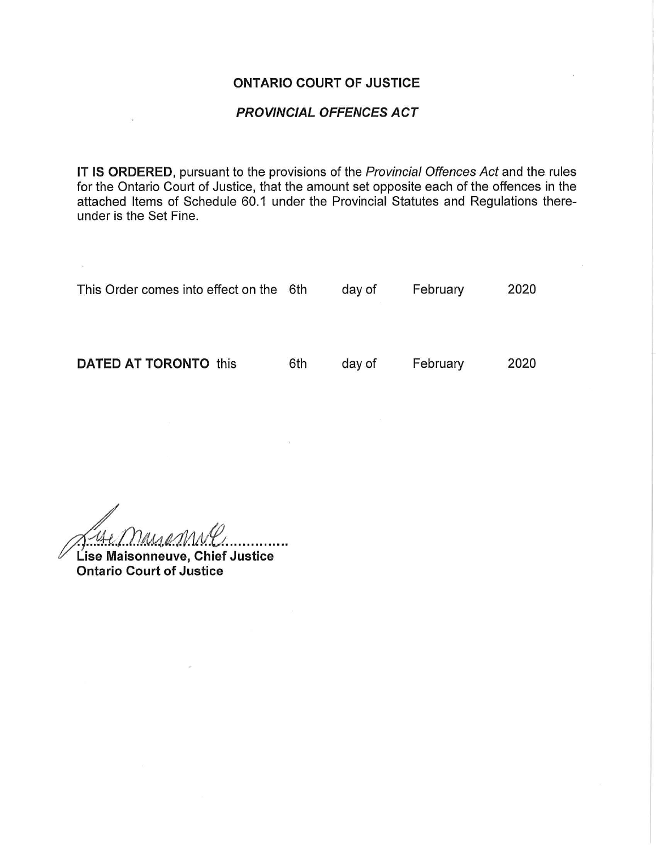#### ONTARIO COURT OF JUSTICE

#### PROVINCIAL OFFENCES ACT

IT IS ORDERED, pursuant to the provisions of the Provincial Offences Act and the rules for the Ontario Court of Justice, that the amount set opposite each of the offences in the attached Items of Schedule 60.1 under the Provincial Statutes and Regulations thereunder is the Set Fine.

| This Order comes into effect on the 6th |     | day of | February | 2020 |
|-----------------------------------------|-----|--------|----------|------|
| <b>DATED AT TORONTO this</b>            | 6th | day of | February | 2020 |

 $\gamma$ ausa $\gamma_\Lambda$ . . . . . . . . . . . Lise Maisonneuve, Chief Justice

 $\infty$  . and a

Ontario Court of Justice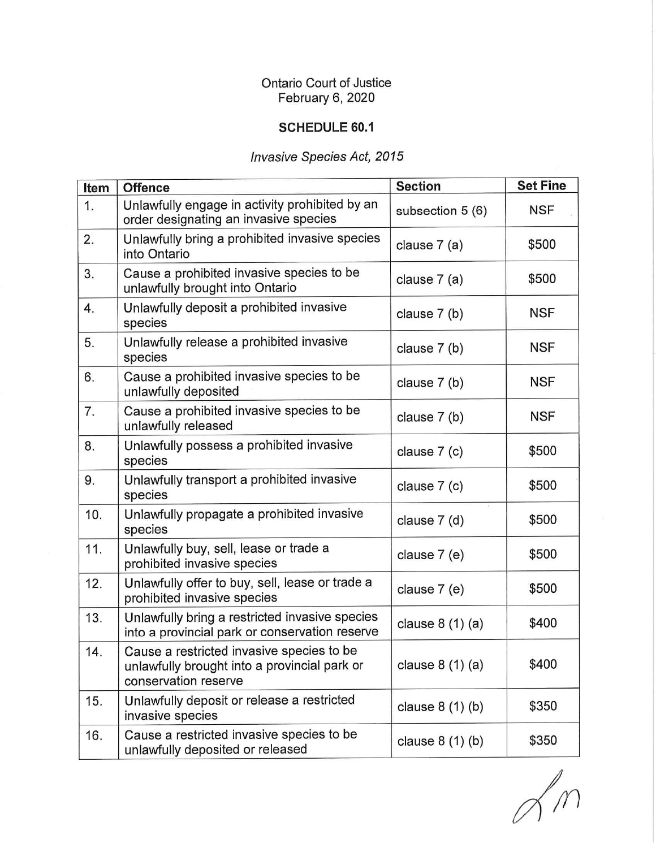## Ontario Court of Justice February 6, 2020

### SCHEDULE 60.1

# Invasive Species Act, 2015

| Item | <b>Offence</b>                                                                                                    | <b>Section</b>   | <b>Set Fine</b> |
|------|-------------------------------------------------------------------------------------------------------------------|------------------|-----------------|
| 1.   | Unlawfully engage in activity prohibited by an<br>order designating an invasive species                           | subsection 5 (6) | <b>NSF</b>      |
| 2.   | Unlawfully bring a prohibited invasive species<br>into Ontario                                                    | clause 7 (a)     | \$500           |
| 3.   | Cause a prohibited invasive species to be<br>unlawfully brought into Ontario                                      | clause 7 (a)     | \$500           |
| 4.   | Unlawfully deposit a prohibited invasive<br>species                                                               | clause 7 (b)     | <b>NSF</b>      |
| 5.   | Unlawfully release a prohibited invasive<br>species                                                               | clause 7 (b)     | NSF             |
| 6.   | Cause a prohibited invasive species to be<br>unlawfully deposited                                                 | clause 7 (b)     | <b>NSF</b>      |
| 7.   | Cause a prohibited invasive species to be<br>unlawfully released                                                  | clause 7 (b)     | <b>NSF</b>      |
| 8.   | Unlawfully possess a prohibited invasive<br>species                                                               | clause 7 (c)     | \$500           |
| 9.   | Unlawfully transport a prohibited invasive<br>species                                                             | clause 7 (c)     | \$500           |
| 10.  | Unlawfully propagate a prohibited invasive<br>species                                                             | clause 7 (d)     | \$500           |
| 11.  | Unlawfully buy, sell, lease or trade a<br>prohibited invasive species                                             | clause 7 (e)     | \$500           |
| 12.  | Unlawfully offer to buy, sell, lease or trade a<br>prohibited invasive species                                    | clause 7 (e)     | \$500           |
| 13.  | Unlawfully bring a restricted invasive species<br>into a provincial park or conservation reserve                  | clause $8(1)(a)$ | \$400           |
| 14.  | Cause a restricted invasive species to be<br>unlawfully brought into a provincial park or<br>conservation reserve | clause $8(1)(a)$ | \$400           |
| 15.  | Unlawfully deposit or release a restricted<br>invasive species                                                    | clause $8(1)(b)$ | \$350           |
| 16.  | Cause a restricted invasive species to be<br>unlawfully deposited or released                                     | clause $8(1)(b)$ | \$350           |

 $\mathscr{P}_m$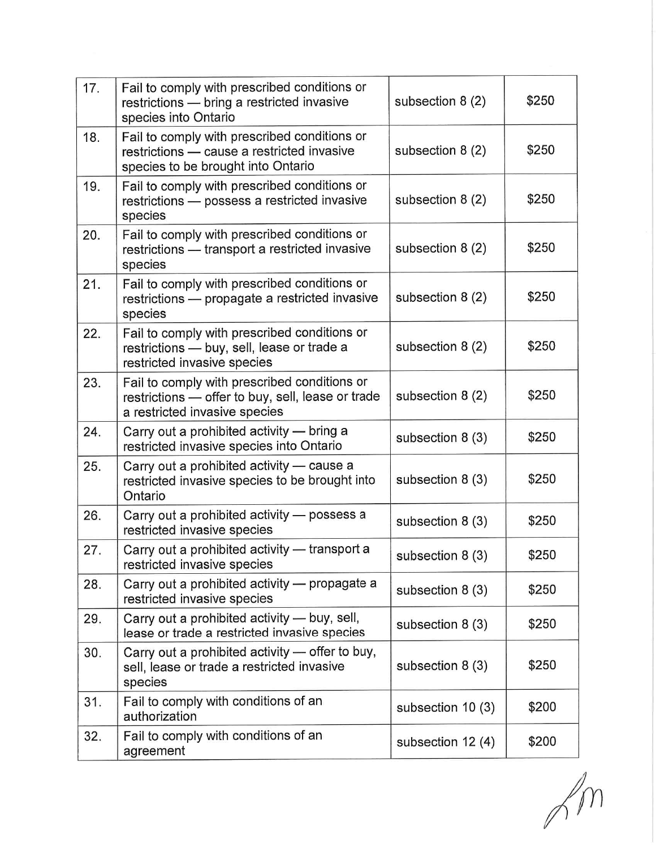| 17. | Fail to comply with prescribed conditions or<br>restrictions - bring a restricted invasive<br>species into Ontario                 | subsection 8 (2)  | \$250 |
|-----|------------------------------------------------------------------------------------------------------------------------------------|-------------------|-------|
| 18. | Fail to comply with prescribed conditions or<br>restrictions - cause a restricted invasive<br>species to be brought into Ontario   | subsection 8 (2)  | \$250 |
| 19. | Fail to comply with prescribed conditions or<br>restrictions - possess a restricted invasive<br>species                            | subsection 8 (2)  | \$250 |
| 20. | Fail to comply with prescribed conditions or<br>restrictions - transport a restricted invasive<br>species                          | subsection 8 (2)  | \$250 |
| 21. | Fail to comply with prescribed conditions or<br>restrictions - propagate a restricted invasive<br>species                          | subsection 8 (2)  | \$250 |
| 22. | Fail to comply with prescribed conditions or<br>restrictions - buy, sell, lease or trade a<br>restricted invasive species          | subsection 8 (2)  | \$250 |
| 23. | Fail to comply with prescribed conditions or<br>restrictions — offer to buy, sell, lease or trade<br>a restricted invasive species | subsection 8 (2)  | \$250 |
| 24. | Carry out a prohibited activity — bring a<br>restricted invasive species into Ontario                                              | subsection 8 (3)  | \$250 |
| 25. | Carry out a prohibited activity - cause a<br>restricted invasive species to be brought into<br>Ontario                             | subsection 8 (3)  | \$250 |
| 26. | Carry out a prohibited activity - possess a<br>restricted invasive species                                                         | subsection 8 (3)  | \$250 |
| 27. | Carry out a prohibited activity - transport a<br>restricted invasive species                                                       | subsection 8 (3)  | \$250 |
| 28. | Carry out a prohibited activity - propagate a<br>restricted invasive species                                                       | subsection 8 (3)  | \$250 |
| 29. | Carry out a prohibited activity - buy, sell,<br>lease or trade a restricted invasive species                                       | subsection 8 (3)  | \$250 |
| 30. | Carry out a prohibited activity - offer to buy,<br>sell, lease or trade a restricted invasive<br>species                           | subsection 8 (3)  | \$250 |
| 31. | Fail to comply with conditions of an<br>authorization                                                                              | subsection 10 (3) | \$200 |
| 32. | Fail to comply with conditions of an<br>agreement                                                                                  | subsection 12 (4) | \$200 |

 $\sqrt{m}$